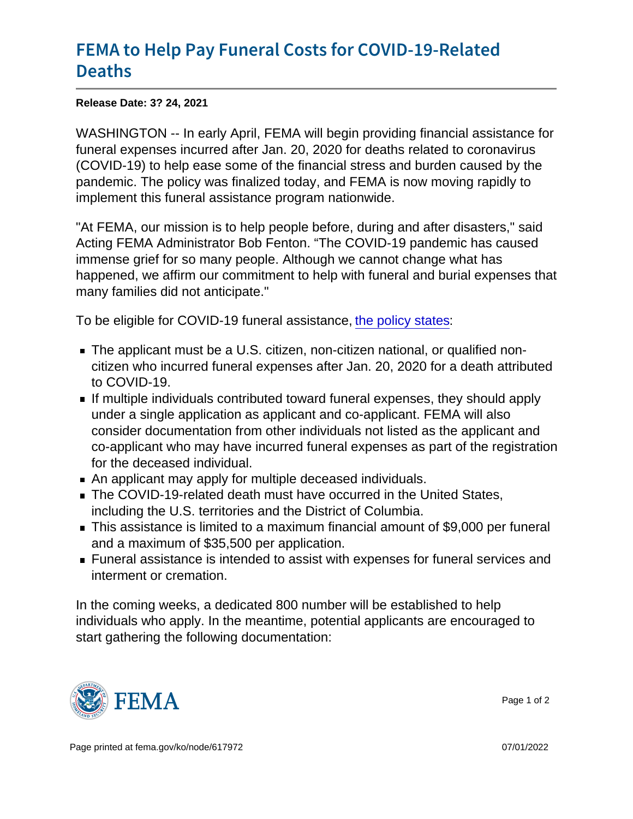## [FEMA to Help Pay Funeral Costs](https://www.fema.gov/press-release/20210324/fema-help-pay-funeral-costs-covid-19-related-deaths) for COVI [Deat](https://www.fema.gov/press-release/20210324/fema-help-pay-funeral-costs-covid-19-related-deaths)hs

Release Date: 3? 24, 2021

WASHINGTON -- In early April, FEMA will begin providing financial assistance for funeral expenses incurred after Jan. 20, 2020 for deaths related to coronavirus (COVID-19) to help ease some of the financial stress and burden caused by the pandemic. The policy was finalized today, and FEMA is now moving rapidly to implement this funeral assistance program nationwide.

"At FEMA, our mission is to help people before, during and after disasters," said Acting FEMA Administrator Bob Fenton. "The COVID-19 pandemic has caused immense grief for so many people. Although we cannot change what has happened, we affirm our commitment to help with funeral and burial expenses that many families did not anticipate."

To be eligible for COVID-19 funeral assistance, [the policy states:](https://www.fema.gov/sites/default/files/documents/fema_policy_covid-19_funeral_assistance-updated.pdf)

- The applicant must be a U.S. citizen, non-citizen national, or qualified noncitizen who incurred funeral expenses after Jan. 20, 2020 for a death attributed to COVID-19.
- If multiple individuals contributed toward funeral expenses, they should apply under a single application as applicant and co-applicant. FEMA will also consider documentation from other individuals not listed as the applicant and co-applicant who may have incurred funeral expenses as part of the registration for the deceased individual.
- An applicant may apply for multiple deceased individuals.
- The COVID-19-related death must have occurred in the United States, including the U.S. territories and the District of Columbia.
- This assistance is limited to a maximum financial amount of \$9,000 per funeral and a maximum of \$35,500 per application.
- Funeral assistance is intended to assist with expenses for funeral services and interment or cremation.

In the coming weeks, a dedicated 800 number will be established to help individuals who apply. In the meantime, potential applicants are encouraged to start gathering the following documentation:



Page 1 of 2